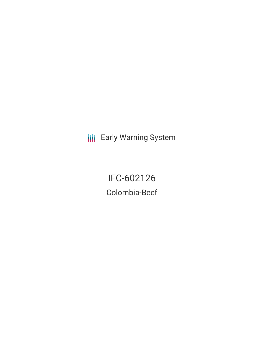**III** Early Warning System

IFC-602126 Colombia-Beef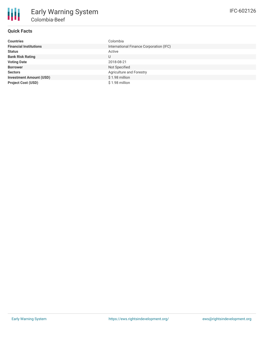## **Quick Facts**

| <b>Countries</b>               | Colombia                                |
|--------------------------------|-----------------------------------------|
| <b>Financial Institutions</b>  | International Finance Corporation (IFC) |
| <b>Status</b>                  | Active                                  |
| <b>Bank Risk Rating</b>        | U                                       |
| <b>Voting Date</b>             | 2018-08-21                              |
| <b>Borrower</b>                | Not Specified                           |
| <b>Sectors</b>                 | Agriculture and Forestry                |
| <b>Investment Amount (USD)</b> | \$1.98 million                          |
| <b>Project Cost (USD)</b>      | \$1.98 million                          |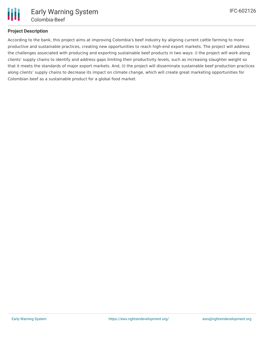

## **Project Description**

According to the bank, this project aims at improving Colombia's beef industry by aligning current cattle farming to more productive and sustainable practices, creating new opportunities to reach high-end export markets. The project will address the challenges associated with producing and exporting sustainable beef products in two ways: i) the project will work along clients' supply chains to identify and address gaps limiting their productivity levels, such as increasing slaughter weight so that it meets the standards of major export markets. And, ii) the project will disseminate sustainable beef production practices along clients' supply chains to decrease its impact on climate change, which will create great marketing opportunities for Colombian beef as a sustainable product for a global food market.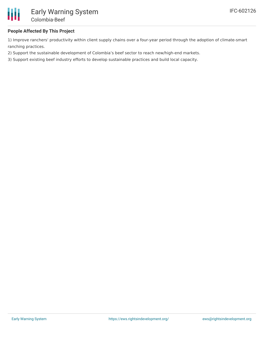

## **People Affected By This Project**

1) Improve ranchers' productivity within client supply chains over a four-year period through the adoption of climate-smart ranching practices.

2) Support the sustainable development of Colombia's beef sector to reach new/high-end markets.

3) Support existing beef industry efforts to develop sustainable practices and build local capacity.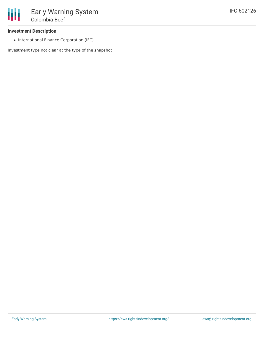• International Finance Corporation (IFC)

Investment type not clear at the type of the snapshot